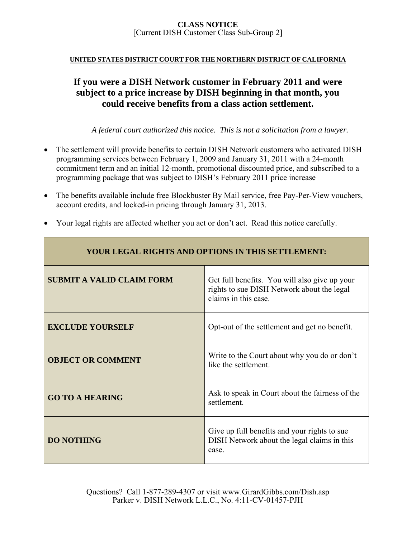## **UNITED STATES DISTRICT COURT FOR THE NORTHERN DISTRICT OF CALIFORNIA**

# **If you were a DISH Network customer in February 2011 and were subject to a price increase by DISH beginning in that month, you could receive benefits from a class action settlement.**

*A federal court authorized this notice. This is not a solicitation from a lawyer.* 

- The settlement will provide benefits to certain DISH Network customers who activated DISH programming services between February 1, 2009 and January 31, 2011 with a 24-month commitment term and an initial 12-month, promotional discounted price, and subscribed to a programming package that was subject to DISH's February 2011 price increase
- The benefits available include free Blockbuster By Mail service, free Pay-Per-View vouchers, account credits, and locked-in pricing through January 31, 2013.
- Your legal rights are affected whether you act or don't act. Read this notice carefully.

| <b>YOUR LEGAL RIGHTS AND OPTIONS IN THIS SETTLEMENT:</b> |                                                                                                                     |
|----------------------------------------------------------|---------------------------------------------------------------------------------------------------------------------|
| <b>SUBMIT A VALID CLAIM FORM</b>                         | Get full benefits. You will also give up your<br>rights to sue DISH Network about the legal<br>claims in this case. |
| <b>EXCLUDE YOURSELF</b>                                  | Opt-out of the settlement and get no benefit.                                                                       |
| <b>OBJECT OR COMMENT</b>                                 | Write to the Court about why you do or don't<br>like the settlement.                                                |
| <b>GO TO A HEARING</b>                                   | Ask to speak in Court about the fairness of the<br>settlement.                                                      |
| <b>DO NOTHING</b>                                        | Give up full benefits and your rights to sue<br>DISH Network about the legal claims in this<br>case.                |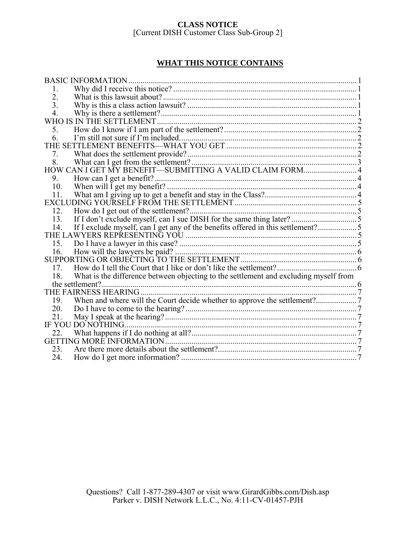# **WHAT THIS NOTICE CONTAINS**

| <b>BASIC INFORMATION.</b>                                                                   |  |
|---------------------------------------------------------------------------------------------|--|
| 1.                                                                                          |  |
| 2.                                                                                          |  |
| 3.                                                                                          |  |
| 4.                                                                                          |  |
| WHO IS IN THE SETTLEMENT.                                                                   |  |
| 5.                                                                                          |  |
| 6                                                                                           |  |
|                                                                                             |  |
| 7.                                                                                          |  |
| 8.                                                                                          |  |
| HOW CAN I GET MY BENEFIT-SUBMITTING A VALID CLAIM FORM 4                                    |  |
| 9.                                                                                          |  |
| 10.                                                                                         |  |
| 11.                                                                                         |  |
|                                                                                             |  |
| 12.                                                                                         |  |
| 13.                                                                                         |  |
| If I exclude myself, can I get any of the benefits offered in this settlement?5<br>14.      |  |
|                                                                                             |  |
|                                                                                             |  |
| 16.                                                                                         |  |
|                                                                                             |  |
| 17.                                                                                         |  |
| What is the difference between objecting to the settlement and excluding myself from<br>18. |  |
| the settlement?                                                                             |  |
|                                                                                             |  |
| 19.                                                                                         |  |
| 20.                                                                                         |  |
| 21.                                                                                         |  |
| IF YOU DO NOTHING                                                                           |  |
| 22.                                                                                         |  |
|                                                                                             |  |
| 23.                                                                                         |  |
| 24.                                                                                         |  |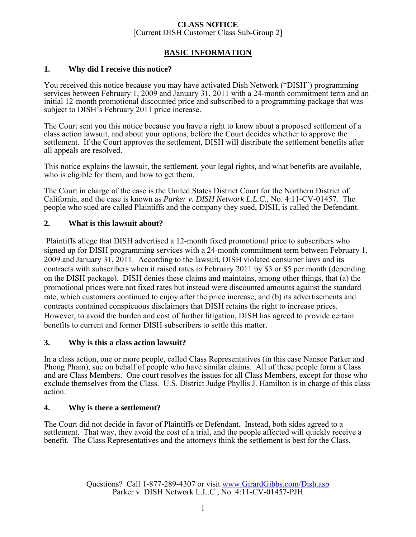# **BASIC INFORMATION**

## **1. Why did I receive this notice?**

You received this notice because you may have activated Dish Network ("DISH") programming services between February 1, 2009 and January 31, 2011 with a 24-month commitment term and an initial 12-month promotional discounted price and subscribed to a programming package that was subject to DISH's February 2011 price increase.

The Court sent you this notice because you have a right to know about a proposed settlement of a class action lawsuit, and about your options, before the Court decides whether to approve the settlement. If the Court approves the settlement, DISH will distribute the settlement benefits after all appeals are resolved.

This notice explains the lawsuit, the settlement, your legal rights, and what benefits are available, who is eligible for them, and how to get them.

The Court in charge of the case is the United States District Court for the Northern District of California, and the case is known as *Parker v. DISH Network L.L.C.*, No. 4:11-CV-01457. The people who sued are called Plaintiffs and the company they sued, DISH, is called the Defendant.

## **2. What is this lawsuit about?**

 Plaintiffs allege that DISH advertised a 12-month fixed promotional price to subscribers who signed up for DISH programming services with a 24-month commitment term between February 1, 2009 and January 31, 2011. According to the lawsuit, DISH violated consumer laws and its contracts with subscribers when it raised rates in February 2011 by \$3 or \$5 per month (depending on the DISH package). DISH denies these claims and maintains, among other things, that (a) the promotional prices were not fixed rates but instead were discounted amounts against the standard rate, which customers continued to enjoy after the price increase; and (b) its advertisements and contracts contained conspicuous disclaimers that DISH retains the right to increase prices. However, to avoid the burden and cost of further litigation, DISH has agreed to provide certain benefits to current and former DISH subscribers to settle this matter.

### **3. Why is this a class action lawsuit?**

In a class action, one or more people, called Class Representatives (in this case Nansee Parker and Phong Pham), sue on behalf of people who have similar claims. All of these people form a Class and are Class Members. One court resolves the issues for all Class Members, except for those who exclude themselves from the Class. U.S. District Judge Phyllis J. Hamilton is in charge of this class action.

## **4. Why is there a settlement?**

The Court did not decide in favor of Plaintiffs or Defendant. Instead, both sides agreed to a settlement. That way, they avoid the cost of a trial, and the people affected will quickly receive a benefit. The Class Representatives and the attorneys think the settlement is best for the Class.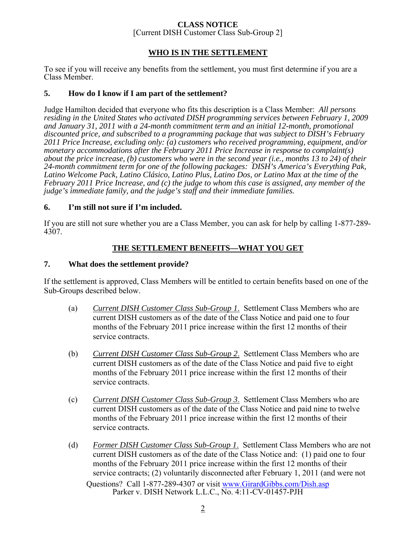# **CLASS NOTICE**

[Current DISH Customer Class Sub-Group 2]

## **WHO IS IN THE SETTLEMENT**

To see if you will receive any benefits from the settlement, you must first determine if you are a Class Member.

## **5. How do I know if I am part of the settlement?**

Judge Hamilton decided that everyone who fits this description is a Class Member: *All persons residing in the United States who activated DISH programming services between February 1, 2009 and January 31, 2011 with a 24-month commitment term and an initial 12-month, promotional discounted price, and subscribed to a programming package that was subject to DISH's February 2011 Price Increase, excluding only: (a) customers who received programming, equipment, and/or monetary accommodations after the February 2011 Price Increase in response to complaint(s) about the price increase, (b) customers who were in the second year (i.e., months 13 to 24) of their 24-month commitment term for one of the following packages: DISH's America's Everything Pak, Latino Welcome Pack, Latino Clásico, Latino Plus, Latino Dos, or Latino Max at the time of the February 2011 Price Increase, and (c) the judge to whom this case is assigned, any member of the judge's immediate family, and the judge's staff and their immediate families.*

## **6. I'm still not sure if I'm included.**

If you are still not sure whether you are a Class Member, you can ask for help by calling 1-877-289- 4307.

## **THE SETTLEMENT BENEFITS—WHAT YOU GET**

## **7. What does the settlement provide?**

If the settlement is approved, Class Members will be entitled to certain benefits based on one of the Sub-Groups described below.

- (a) *Current DISH Customer Class Sub-Group 1*. Settlement Class Members who are current DISH customers as of the date of the Class Notice and paid one to four months of the February 2011 price increase within the first 12 months of their service contracts.
- (b) *Current DISH Customer Class Sub-Group 2*. Settlement Class Members who are current DISH customers as of the date of the Class Notice and paid five to eight months of the February 2011 price increase within the first 12 months of their service contracts.
- (c) *Current DISH Customer Class Sub-Group 3*. Settlement Class Members who are current DISH customers as of the date of the Class Notice and paid nine to twelve months of the February 2011 price increase within the first 12 months of their service contracts.
- Questions? Call 1-877-289-4307 or visit www.GirardGibbs.com/Dish.asp Parker v. DISH Network L.L.C., No. 4:11-CV-01457-PJH (d) *Former DISH Customer Class Sub-Group 1*. Settlement Class Members who are not current DISH customers as of the date of the Class Notice and: (1) paid one to four months of the February 2011 price increase within the first 12 months of their service contracts; (2) voluntarily disconnected after February 1, 2011 (and were not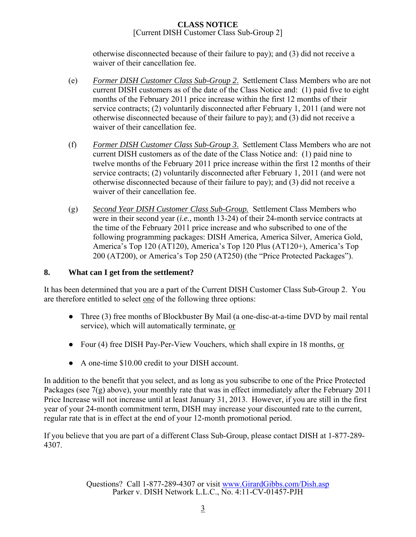otherwise disconnected because of their failure to pay); and (3) did not receive a waiver of their cancellation fee.

- (e) *Former DISH Customer Class Sub-Group 2*. Settlement Class Members who are not current DISH customers as of the date of the Class Notice and: (1) paid five to eight months of the February 2011 price increase within the first 12 months of their service contracts; (2) voluntarily disconnected after February 1, 2011 (and were not otherwise disconnected because of their failure to pay); and (3) did not receive a waiver of their cancellation fee.
- (f) *Former DISH Customer Class Sub-Group 3*. Settlement Class Members who are not current DISH customers as of the date of the Class Notice and: (1) paid nine to twelve months of the February 2011 price increase within the first 12 months of their service contracts; (2) voluntarily disconnected after February 1, 2011 (and were not otherwise disconnected because of their failure to pay); and (3) did not receive a waiver of their cancellation fee.
- (g) *Second Year DISH Customer Class Sub-Group.* Settlement Class Members who were in their second year (*i.e.,* month 13-24) of their 24-month service contracts at the time of the February 2011 price increase and who subscribed to one of the following programming packages: DISH America, America Silver, America Gold, America's Top 120 (AT120), America's Top 120 Plus (AT120+), America's Top 200 (AT200), or America's Top 250 (AT250) (the "Price Protected Packages").

# **8. What can I get from the settlement?**

It has been determined that you are a part of the Current DISH Customer Class Sub-Group 2. You are therefore entitled to select one of the following three options:

- Three (3) free months of Blockbuster By Mail (a one-disc-at-a-time DVD by mail rental service), which will automatically terminate, or
- Four (4) free DISH Pay-Per-View Vouchers, which shall expire in 18 months, or
- A one-time \$10.00 credit to your DISH account.

In addition to the benefit that you select, and as long as you subscribe to one of the Price Protected Packages (see 7(g) above), your monthly rate that was in effect immediately after the February 2011 Price Increase will not increase until at least January 31, 2013. However, if you are still in the first year of your 24-month commitment term, DISH may increase your discounted rate to the current, regular rate that is in effect at the end of your 12-month promotional period.

If you believe that you are part of a different Class Sub-Group, please contact DISH at 1-877-289- 4307.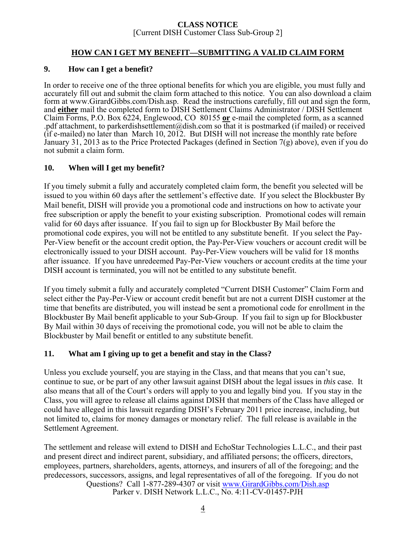## **HOW CAN I GET MY BENEFIT—SUBMITTING A VALID CLAIM FORM**

## **9. How can I get a benefit?**

In order to receive one of the three optional benefits for which you are eligible, you must fully and accurately fill out and submit the claim form attached to this notice. You can also download a claim form at www.GirardGibbs.com/Dish.asp. Read the instructions carefully, fill out and sign the form, and **either** mail the completed form to DISH Settlement Claims Administrator / DISH Settlement Claim Forms, P.O. Box 6224, Englewood, CO 80155 **or** e-mail the completed form, as a scanned pdf attachment, to parkerdishsettlement@dish.com so that it is postmarked (if mailed) or received (if e-mailed) no later than March 10, 2012. But DISH will not increase the monthly rate before January 31, 2013 as to the Price Protected Packages (defined in Section 7(g) above), even if you do not submit a claim form.

## **10. When will I get my benefit?**

If you timely submit a fully and accurately completed claim form, the benefit you selected will be issued to you within 60 days after the settlement's effective date. If you select the Blockbuster By Mail benefit, DISH will provide you a promotional code and instructions on how to activate your free subscription or apply the benefit to your existing subscription. Promotional codes will remain valid for 60 days after issuance. If you fail to sign up for Blockbuster By Mail before the promotional code expires, you will not be entitled to any substitute benefit. If you select the Pay-Per-View benefit or the account credit option, the Pay-Per-View vouchers or account credit will be electronically issued to your DISH account. Pay-Per-View vouchers will be valid for 18 months after issuance. If you have unredeemed Pay-Per-View vouchers or account credits at the time your DISH account is terminated, you will not be entitled to any substitute benefit.

If you timely submit a fully and accurately completed "Current DISH Customer" Claim Form and select either the Pay-Per-View or account credit benefit but are not a current DISH customer at the time that benefits are distributed, you will instead be sent a promotional code for enrollment in the Blockbuster By Mail benefit applicable to your Sub-Group. If you fail to sign up for Blockbuster By Mail within 30 days of receiving the promotional code, you will not be able to claim the Blockbuster by Mail benefit or entitled to any substitute benefit.

## **11. What am I giving up to get a benefit and stay in the Class?**

Unless you exclude yourself, you are staying in the Class, and that means that you can't sue, continue to sue, or be part of any other lawsuit against DISH about the legal issues in *this* case. It also means that all of the Court's orders will apply to you and legally bind you. If you stay in the Class, you will agree to release all claims against DISH that members of the Class have alleged or could have alleged in this lawsuit regarding DISH's February 2011 price increase, including, but not limited to, claims for money damages or monetary relief. The full release is available in the Settlement Agreement.

Questions? Call 1-877-289-4307 or visit www.GirardGibbs.com/Dish.asp Parker v. DISH Network L.L.C., No. 4:11-CV-01457-PJH The settlement and release will extend to DISH and EchoStar Technologies L.L.C., and their past and present direct and indirect parent, subsidiary, and affiliated persons; the officers, directors, employees, partners, shareholders, agents, attorneys, and insurers of all of the foregoing; and the predecessors, successors, assigns, and legal representatives of all of the foregoing. If you do not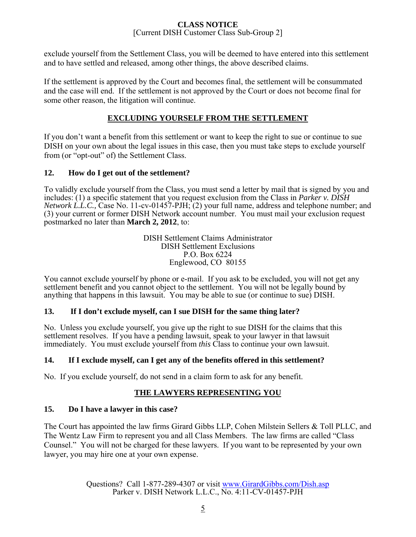exclude yourself from the Settlement Class, you will be deemed to have entered into this settlement and to have settled and released, among other things, the above described claims.

If the settlement is approved by the Court and becomes final, the settlement will be consummated and the case will end. If the settlement is not approved by the Court or does not become final for some other reason, the litigation will continue.

# **EXCLUDING YOURSELF FROM THE SETTLEMENT**

If you don't want a benefit from this settlement or want to keep the right to sue or continue to sue DISH on your own about the legal issues in this case, then you must take steps to exclude yourself from (or "opt-out" of) the Settlement Class.

## **12. How do I get out of the settlement?**

To validly exclude yourself from the Class, you must send a letter by mail that is signed by you and includes: (1) a specific statement that you request exclusion from the Class in *Parker v. DISH Network L.L.C.,* Case No. 11-cv-01457-PJH; (2) your full name, address and telephone number; and (3) your current or former DISH Network account number. You must mail your exclusion request postmarked no later than **March 2, 2012**, to:

> DISH Settlement Claims Administrator DISH Settlement Exclusions P.O. Box 6224 Englewood, CO 80155

You cannot exclude yourself by phone or e-mail. If you ask to be excluded, you will not get any settlement benefit and you cannot object to the settlement. You will not be legally bound by anything that happens in this lawsuit. You may be able to sue (or continue to sue) DISH.

## **13. If I don't exclude myself, can I sue DISH for the same thing later?**

No. Unless you exclude yourself, you give up the right to sue DISH for the claims that this settlement resolves. If you have a pending lawsuit, speak to your lawyer in that lawsuit immediately. You must exclude yourself from *this* Class to continue your own lawsuit.

## **14. If I exclude myself, can I get any of the benefits offered in this settlement?**

No. If you exclude yourself, do not send in a claim form to ask for any benefit.

## **THE LAWYERS REPRESENTING YOU**

## **15. Do I have a lawyer in this case?**

The Court has appointed the law firms Girard Gibbs LLP, Cohen Milstein Sellers & Toll PLLC, and The Wentz Law Firm to represent you and all Class Members. The law firms are called "Class Counsel." You will not be charged for these lawyers. If you want to be represented by your own lawyer, you may hire one at your own expense.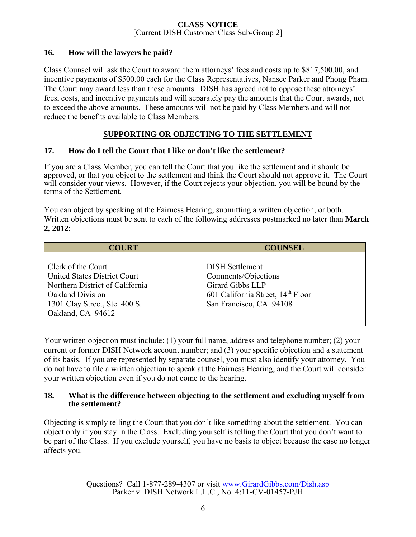## **16. How will the lawyers be paid?**

Class Counsel will ask the Court to award them attorneys' fees and costs up to \$817,500.00, and incentive payments of \$500.00 each for the Class Representatives, Nansee Parker and Phong Pham. The Court may award less than these amounts. DISH has agreed not to oppose these attorneys' fees, costs, and incentive payments and will separately pay the amounts that the Court awards, not to exceed the above amounts. These amounts will not be paid by Class Members and will not reduce the benefits available to Class Members.

## **SUPPORTING OR OBJECTING TO THE SETTLEMENT**

## **17. How do I tell the Court that I like or don't like the settlement?**

If you are a Class Member, you can tell the Court that you like the settlement and it should be approved, or that you object to the settlement and think the Court should not approve it. The Court will consider your views. However, if the Court rejects your objection, you will be bound by the terms of the Settlement.

You can object by speaking at the Fairness Hearing, submitting a written objection, or both. Written objections must be sent to each of the following addresses postmarked no later than **March 2, 2012**:

| <b>COURT</b>                                                                                                                                                                  | <b>COUNSEL</b>                                                                                                                                |
|-------------------------------------------------------------------------------------------------------------------------------------------------------------------------------|-----------------------------------------------------------------------------------------------------------------------------------------------|
| Clerk of the Court<br><b>United States District Court</b><br>Northern District of California<br><b>Oakland Division</b><br>1301 Clay Street, Ste. 400 S.<br>Oakland, CA 94612 | <b>DISH Settlement</b><br>Comments/Objections<br>Girard Gibbs LLP<br>601 California Street, 14 <sup>th</sup> Floor<br>San Francisco, CA 94108 |

Your written objection must include: (1) your full name, address and telephone number; (2) your current or former DISH Network account number; and (3) your specific objection and a statement of its basis. If you are represented by separate counsel, you must also identify your attorney. You do not have to file a written objection to speak at the Fairness Hearing, and the Court will consider your written objection even if you do not come to the hearing.

## **18. What is the difference between objecting to the settlement and excluding myself from the settlement?**

Objecting is simply telling the Court that you don't like something about the settlement. You can object only if you stay in the Class. Excluding yourself is telling the Court that you don't want to be part of the Class. If you exclude yourself, you have no basis to object because the case no longer affects you.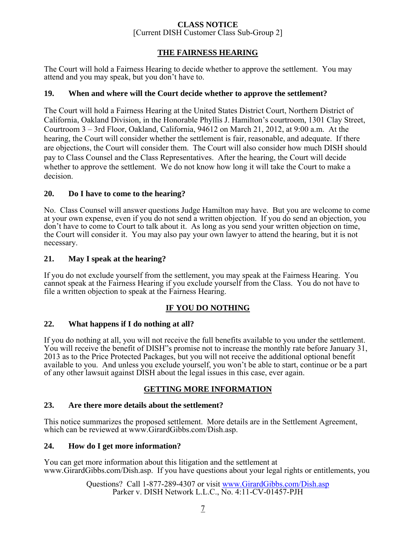## **THE FAIRNESS HEARING**

The Court will hold a Fairness Hearing to decide whether to approve the settlement. You may attend and you may speak, but you don't have to.

## **19. When and where will the Court decide whether to approve the settlement?**

The Court will hold a Fairness Hearing at the United States District Court, Northern District of California, Oakland Division, in the Honorable Phyllis J. Hamilton's courtroom, 1301 Clay Street, Courtroom 3 – 3rd Floor, Oakland, California, 94612 on March 21, 2012, at 9:00 a.m. At the hearing, the Court will consider whether the settlement is fair, reasonable, and adequate. If there are objections, the Court will consider them. The Court will also consider how much DISH should pay to Class Counsel and the Class Representatives. After the hearing, the Court will decide whether to approve the settlement. We do not know how long it will take the Court to make a decision.

## **20. Do I have to come to the hearing?**

No. Class Counsel will answer questions Judge Hamilton may have. But you are welcome to come at your own expense, even if you do not send a written objection. If you do send an objection, you don't have to come to Court to talk about it. As long as you send your written objection on time, the Court will consider it. You may also pay your own lawyer to attend the hearing, but it is not necessary.

## **21. May I speak at the hearing?**

If you do not exclude yourself from the settlement, you may speak at the Fairness Hearing. You cannot speak at the Fairness Hearing if you exclude yourself from the Class. You do not have to file a written objection to speak at the Fairness Hearing.

## **IF YOU DO NOTHING**

### **22. What happens if I do nothing at all?**

If you do nothing at all, you will not receive the full benefits available to you under the settlement. You will receive the benefit of DISH"s promise not to increase the monthly rate before January 31, 2013 as to the Price Protected Packages, but you will not receive the additional optional benefit available to you. And unless you exclude yourself, you won't be able to start, continue or be a part of any other lawsuit against DISH about the legal issues in this case, ever again.

### **GETTING MORE INFORMATION**

### **23. Are there more details about the settlement?**

This notice summarizes the proposed settlement. More details are in the Settlement Agreement, which can be reviewed at www.GirardGibbs.com/Dish.asp.

### **24. How do I get more information?**

You can get more information about this litigation and the settlement at www.GirardGibbs.com/Dish.asp. If you have questions about your legal rights or entitlements, you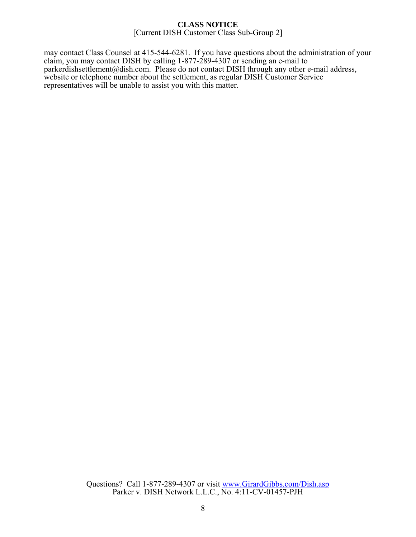may contact Class Counsel at 415-544-6281. If you have questions about the administration of your claim, you may contact DISH by calling 1-877-289-4307 or sending an e-mail to parkerdishsettlement@dish.com. Please do not contact DISH through any other e-mail address, website or telephone number about the settlement, as regular DISH Customer Service representatives will be unable to assist you with this matter.